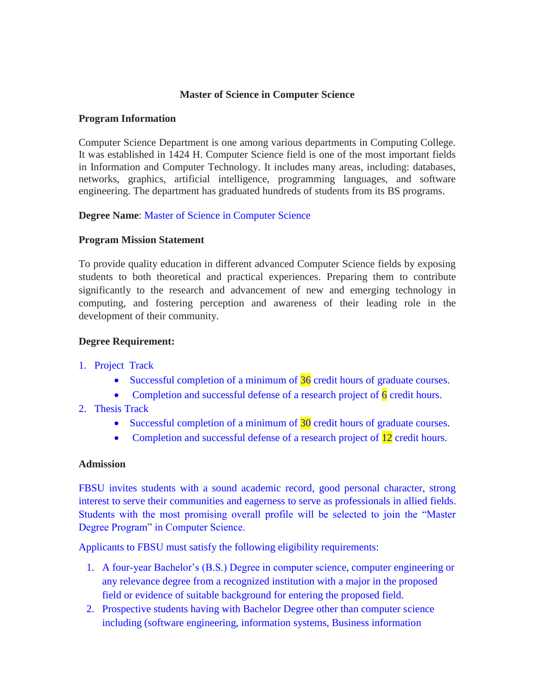### **Master of Science in Computer Science**

#### **Program Information**

Computer Science Department is one among various departments in Computing College. It was established in 1424 H. Computer Science field is one of the most important fields in Information and Computer Technology. It includes many areas, including: databases, networks, graphics, artificial intelligence, programming languages, and software engineering. The department has graduated hundreds of students from its BS programs.

## **Degree Name**: Master of Science in Computer Science

### **Program Mission Statement**

To provide quality education in different advanced Computer Science fields by exposing students to both theoretical and practical experiences. Preparing them to contribute significantly to the research and advancement of new and emerging technology in computing, and fostering perception and awareness of their leading role in the development of their community.

#### **Degree Requirement:**

## 1. Project Track

- Successful completion of a minimum of  $36$  credit hours of graduate courses.
- Completion and successful defense of a research project of  $\overline{6}$  credit hours.
- 2. Thesis Track
	- Successful completion of a minimum of 30 credit hours of graduate courses.
	- Completion and successful defense of a research project of 12 credit hours.

#### **Admission**

FBSU invites students with a sound academic record, good personal character, strong interest to serve their communities and eagerness to serve as professionals in allied fields. Students with the most promising overall profile will be selected to join the "Master Degree Program" in Computer Science.

Applicants to FBSU must satisfy the following eligibility requirements:

- 1. A four-year Bachelor's (B.S.) Degree in computer science, computer engineering or any relevance degree from a recognized institution with a major in the proposed field or evidence of suitable background for entering the proposed field.
- 2. Prospective students having with Bachelor Degree other than computer science including (software engineering, information systems, Business information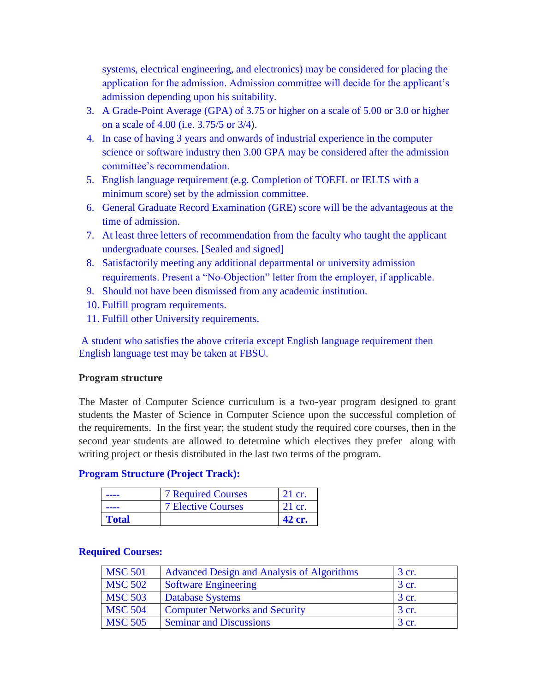systems, electrical engineering, and electronics) may be considered for placing the application for the admission. Admission committee will decide for the applicant's admission depending upon his suitability.

- 3. A Grade-Point Average (GPA) of 3.75 or higher on a scale of 5.00 or 3.0 or higher on a scale of 4.00 (i.e. 3.75/5 or 3/4).
- 4. In case of having 3 years and onwards of industrial experience in the computer science or software industry then 3.00 GPA may be considered after the admission committee's recommendation.
- 5. English language requirement (e.g. Completion of TOEFL or IELTS with a minimum score) set by the admission committee.
- 6. General Graduate Record Examination (GRE) score will be the advantageous at the time of admission.
- 7. At least three letters of recommendation from the faculty who taught the applicant undergraduate courses. [Sealed and signed]
- 8. Satisfactorily meeting any additional departmental or university admission requirements. Present a "No-Objection" letter from the employer, if applicable.
- 9. Should not have been dismissed from any academic institution.
- 10. Fulfill program requirements.
- 11. Fulfill other University requirements.

A student who satisfies the above criteria except English language requirement then English language test may be taken at FBSU.

## **Program structure**

The Master of Computer Science curriculum is a two-year program designed to grant students the Master of Science in Computer Science upon the successful completion of the requirements. In the first year; the student study the required core courses, then in the second year students are allowed to determine which electives they prefer along with writing project or thesis distributed in the last two terms of the program.

## **Program Structure (Project Track):**

| ---          | <b>7 Required Courses</b> | 21 cr. |
|--------------|---------------------------|--------|
| ----         | <b>7 Elective Courses</b> | 21 cr. |
| <b>Total</b> |                           | 42 cr. |

#### **Required Courses:**

| <b>MSC 501</b> | <b>Advanced Design and Analysis of Algorithms</b> | 3 cr. |
|----------------|---------------------------------------------------|-------|
| <b>MSC 502</b> | <b>Software Engineering</b>                       | 3 cr. |
| <b>MSC 503</b> | <b>Database Systems</b>                           | 3 cr. |
| <b>MSC 504</b> | <b>Computer Networks and Security</b>             | 3 cr. |
| <b>MSC 505</b> | <b>Seminar and Discussions</b>                    | 3 cr. |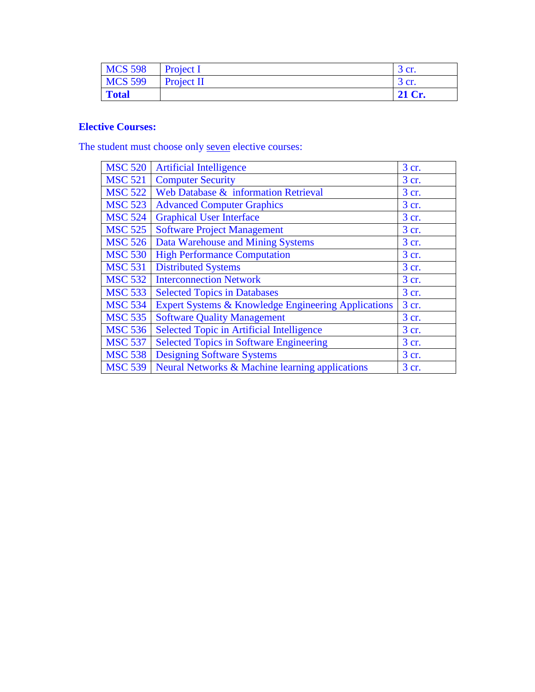| <b>MCS 598</b> | Project I  | 3 cr.  |
|----------------|------------|--------|
| <b>MCS 599</b> | Project II | 3 cr.  |
| <b>Total</b>   |            | 21 Cr. |

# **Elective Courses:**

The student must choose only seven elective courses:

| <b>MSC 520</b> | <b>Artificial Intelligence</b>                                 | 3 cr. |
|----------------|----------------------------------------------------------------|-------|
| <b>MSC 521</b> | <b>Computer Security</b>                                       | 3 cr. |
| <b>MSC 522</b> | Web Database & information Retrieval                           | 3 cr. |
| <b>MSC 523</b> | <b>Advanced Computer Graphics</b>                              | 3 cr. |
| <b>MSC 524</b> | <b>Graphical User Interface</b>                                | 3 cr. |
| <b>MSC 525</b> | <b>Software Project Management</b>                             | 3 cr. |
| <b>MSC 526</b> | Data Warehouse and Mining Systems                              | 3 cr. |
| <b>MSC 530</b> | <b>High Performance Computation</b>                            | 3 cr. |
| <b>MSC 531</b> | <b>Distributed Systems</b>                                     | 3 cr. |
| <b>MSC 532</b> | <b>Interconnection Network</b>                                 | 3 cr. |
| <b>MSC 533</b> | <b>Selected Topics in Databases</b>                            | 3 cr. |
| <b>MSC 534</b> | <b>Expert Systems &amp; Knowledge Engineering Applications</b> | 3 cr. |
| <b>MSC 535</b> | <b>Software Quality Management</b>                             | 3 cr. |
| <b>MSC 536</b> | <b>Selected Topic in Artificial Intelligence</b>               | 3 cr. |
| <b>MSC 537</b> | <b>Selected Topics in Software Engineering</b>                 | 3 cr. |
| <b>MSC 538</b> | <b>Designing Software Systems</b>                              | 3 cr. |
| <b>MSC 539</b> | Neural Networks & Machine learning applications                | 3 cr. |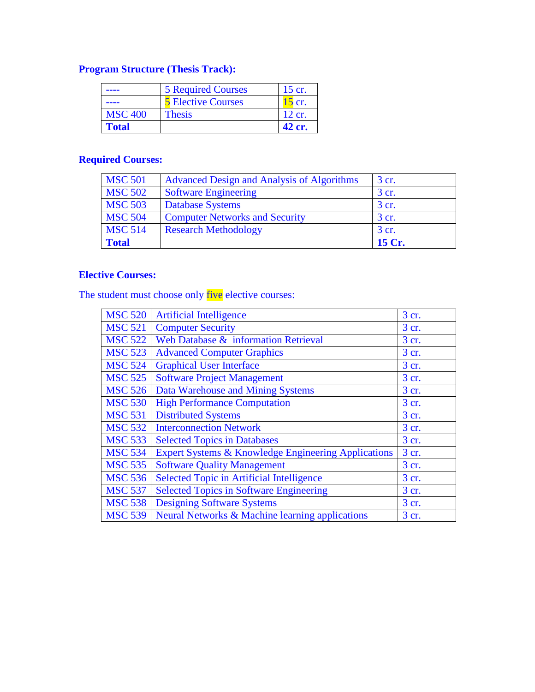# **Program Structure (Thesis Track):**

|                | <b>5 Required Courses</b> | 15 cr.   |
|----------------|---------------------------|----------|
| ---            | <b>5 Elective Courses</b> | $15$ cr. |
| <b>MSC 400</b> | <b>Thesis</b>             | 12 cr.   |
| <b>Total</b>   |                           | 42 cr.   |

# **Required Courses:**

| <b>MSC 501</b> | <b>Advanced Design and Analysis of Algorithms</b> | 3 cr.  |
|----------------|---------------------------------------------------|--------|
| <b>MSC 502</b> | <b>Software Engineering</b>                       | 3 cr.  |
| <b>MSC 503</b> | <b>Database Systems</b>                           | 3 cr.  |
| <b>MSC 504</b> | <b>Computer Networks and Security</b>             | 3 cr.  |
| <b>MSC 514</b> | <b>Research Methodology</b>                       | 3 cr.  |
| <b>Total</b>   |                                                   | 15 Cr. |

# **Elective Courses:**

The student must choose only five elective courses:

| <b>MSC 520</b> | <b>Artificial Intelligence</b>                                 | 3 cr. |
|----------------|----------------------------------------------------------------|-------|
| <b>MSC 521</b> | <b>Computer Security</b>                                       | 3 cr. |
| <b>MSC 522</b> | Web Database & information Retrieval                           | 3 cr. |
| <b>MSC 523</b> | <b>Advanced Computer Graphics</b>                              | 3 cr. |
| <b>MSC 524</b> | <b>Graphical User Interface</b>                                | 3 cr. |
| <b>MSC 525</b> | <b>Software Project Management</b>                             | 3 cr. |
| <b>MSC 526</b> | Data Warehouse and Mining Systems                              | 3 cr. |
| <b>MSC 530</b> | <b>High Performance Computation</b>                            | 3 cr. |
| <b>MSC 531</b> | <b>Distributed Systems</b>                                     | 3 cr. |
| <b>MSC 532</b> | <b>Interconnection Network</b>                                 | 3 cr. |
| <b>MSC 533</b> | <b>Selected Topics in Databases</b>                            | 3 cr. |
| <b>MSC 534</b> | <b>Expert Systems &amp; Knowledge Engineering Applications</b> | 3 cr. |
| <b>MSC 535</b> | <b>Software Quality Management</b>                             | 3 cr. |
| <b>MSC 536</b> | <b>Selected Topic in Artificial Intelligence</b>               | 3 cr. |
| <b>MSC 537</b> | <b>Selected Topics in Software Engineering</b>                 | 3 cr. |
| <b>MSC 538</b> | <b>Designing Software Systems</b>                              | 3 cr. |
| <b>MSC 539</b> | Neural Networks & Machine learning applications                | 3 cr. |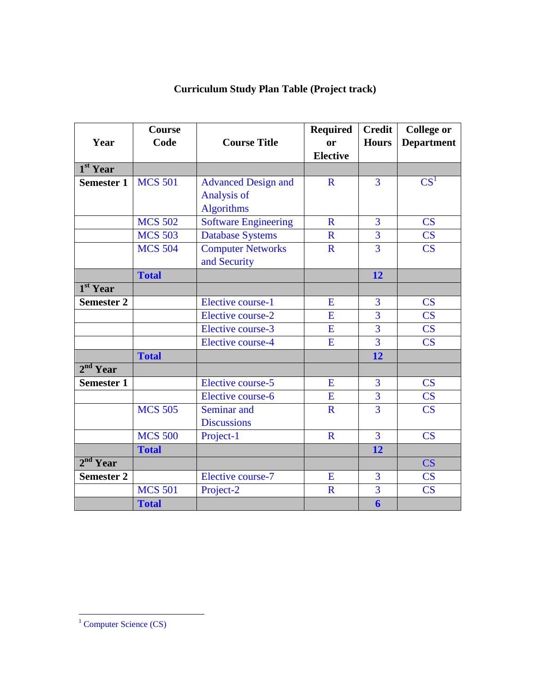| Year                 | <b>Course</b><br>Code | <b>Course Title</b>                                                   | <b>Required</b><br><sub>or</sub><br><b>Elective</b> | <b>Credit</b><br><b>Hours</b> | <b>College or</b><br><b>Department</b> |
|----------------------|-----------------------|-----------------------------------------------------------------------|-----------------------------------------------------|-------------------------------|----------------------------------------|
| $1st$ Year           |                       |                                                                       |                                                     |                               |                                        |
| <b>Semester 1</b>    | <b>MCS 501</b>        | <b>Advanced Design and</b><br><b>Analysis of</b><br><b>Algorithms</b> | $\mathbf R$                                         | 3                             | $CS^1$                                 |
|                      | <b>MCS 502</b>        | <b>Software Engineering</b>                                           | $\mathbf R$                                         | $\overline{3}$                | $\overline{\text{CS}}$                 |
|                      | <b>MCS 503</b>        | <b>Database Systems</b>                                               | $\mathbf R$                                         | $\overline{3}$                | $\overline{\text{CS}}$                 |
|                      | <b>MCS 504</b>        | <b>Computer Networks</b><br>and Security                              | $\mathbf R$                                         | $\overline{3}$                | $\overline{\text{CS}}$                 |
|                      | <b>Total</b>          |                                                                       |                                                     | 12                            |                                        |
| 1 <sup>st</sup> Year |                       |                                                                       |                                                     |                               |                                        |
| <b>Semester 2</b>    |                       | <b>Elective course-1</b>                                              | E                                                   | $\overline{3}$                | CS                                     |
|                      |                       | <b>Elective course-2</b>                                              | E                                                   | 3                             | $\overline{\text{CS}}$                 |
|                      |                       | Elective course-3                                                     | E                                                   | 3                             | $\overline{\text{CS}}$                 |
|                      |                       | <b>Elective course-4</b>                                              | E                                                   | $\overline{3}$                | $\overline{\text{CS}}$                 |
|                      | <b>Total</b>          |                                                                       |                                                     | 12                            |                                        |
| 2 <sup>nd</sup> Year |                       |                                                                       |                                                     |                               |                                        |
| <b>Semester 1</b>    |                       | Elective course-5                                                     | E                                                   | 3                             | $\overline{\text{CS}}$                 |
|                      |                       | Elective course-6                                                     | E                                                   | $\overline{3}$                | $\overline{\text{CS}}$                 |
|                      | <b>MCS 505</b>        | Seminar and<br><b>Discussions</b>                                     | $\mathbf R$                                         | $\overline{3}$                | CS                                     |
|                      | <b>MCS 500</b>        | Project-1                                                             | $\mathbf R$                                         | $\overline{3}$                | $\overline{\text{CS}}$                 |
|                      | <b>Total</b>          |                                                                       |                                                     | 12                            |                                        |
| 2 <sup>nd</sup> Year |                       |                                                                       |                                                     |                               | CS                                     |
| <b>Semester 2</b>    |                       | <b>Elective course-7</b>                                              | E                                                   | 3                             | CS                                     |
|                      | <b>MCS 501</b>        | Project-2                                                             | $\mathbf R$                                         | $\overline{3}$                | $\overline{\text{CS}}$                 |
|                      | <b>Total</b>          |                                                                       |                                                     | 6                             |                                        |

# **Curriculum Study Plan Table (Project track)**

 $\overline{\phantom{a}}$ 

 $1$  Computer Science (CS)